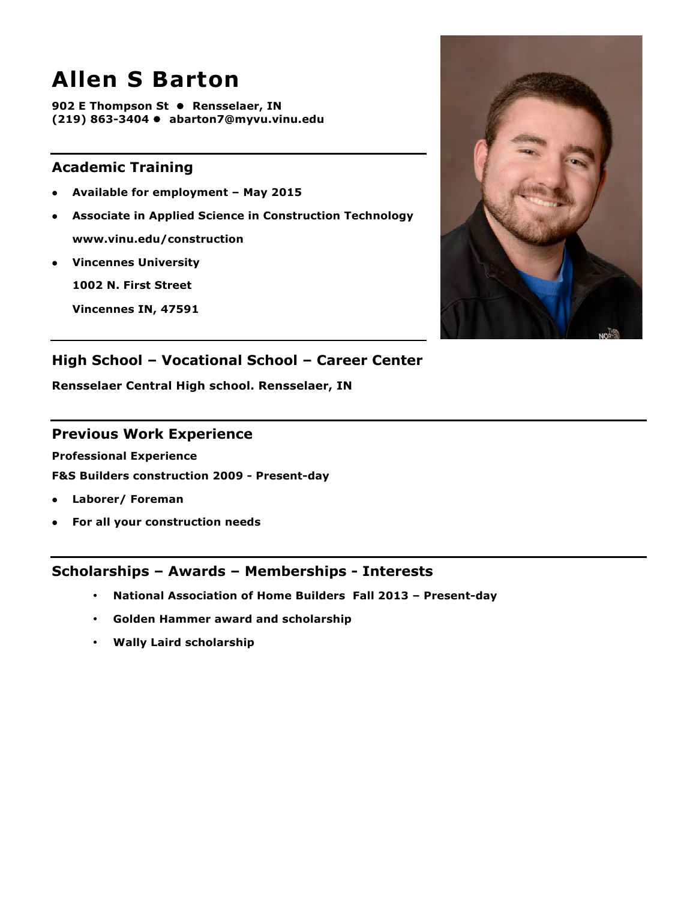## **Allen S Barton**

**902 E Thompson St** l **Rensselaer, IN (219) 863-3404** l **abarton7@myvu.vinu.edu**

## **Academic Training**

- l **Available for employment – May 2015**
- **Associate in Applied Science in Construction Technology www.vinu.edu/construction**
- **•** Vincennes University

**1002 N. First Street**

**Vincennes IN, 47591**



## **High School – Vocational School – Career Center**

**Rensselaer Central High school. Rensselaer, IN**

#### **Previous Work Experience**

**Professional Experience**

**F&S Builders construction 2009 - Present-day**

- **•** Laborer/ Foreman
- **•** For all your construction needs

- **National Association of Home Builders Fall 2013 – Present-day**
- **Golden Hammer award and scholarship**
- **Wally Laird scholarship**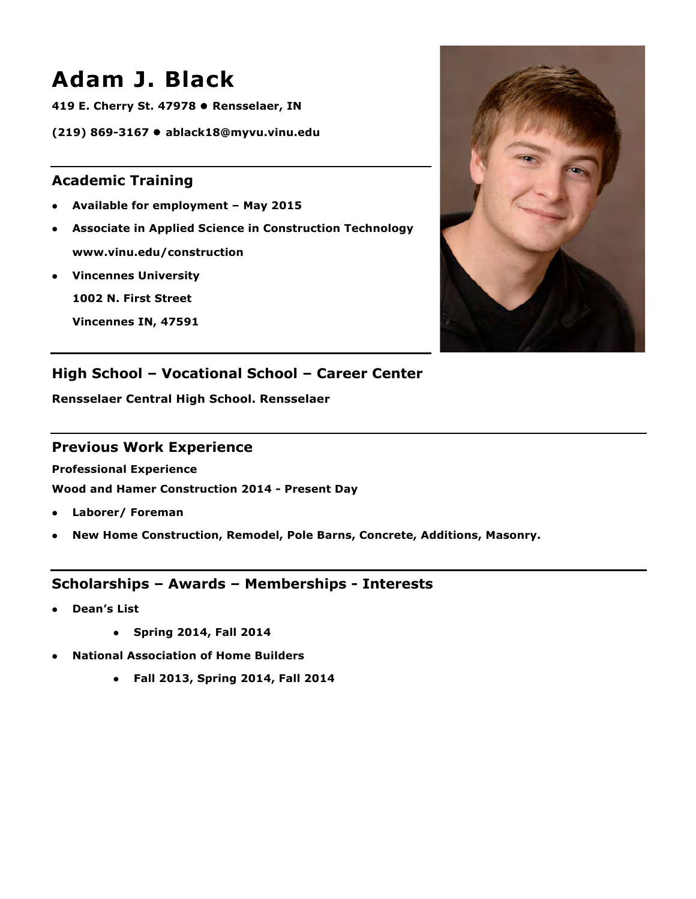## **Adam J. Black**

**419 E. Cherry St. 47978 ● Rensselaer, IN** 

**(219) 869-3167** l **ablack18@myvu.vinu.edu**

## **Academic Training**

- l **Available for employment – May 2015**
- **Associate in Applied Science in Construction Technology www.vinu.edu/construction**
- **•** Vincennes University

**1002 N. First Street**

**Vincennes IN, 47591**



## **High School – Vocational School – Career Center**

**Rensselaer Central High School. Rensselaer**

#### **Previous Work Experience**

**Professional Experience**

**Wood and Hamer Construction 2014 - Present Day**

- **•** Laborer/ Foreman
- **•** New Home Construction, Remodel, Pole Barns, Concrete, Additions, Masonry.

- l **Dean's List**
	- l **Spring 2014, Fall 2014**
- l **National Association of Home Builders** 
	- l **Fall 2013, Spring 2014, Fall 2014**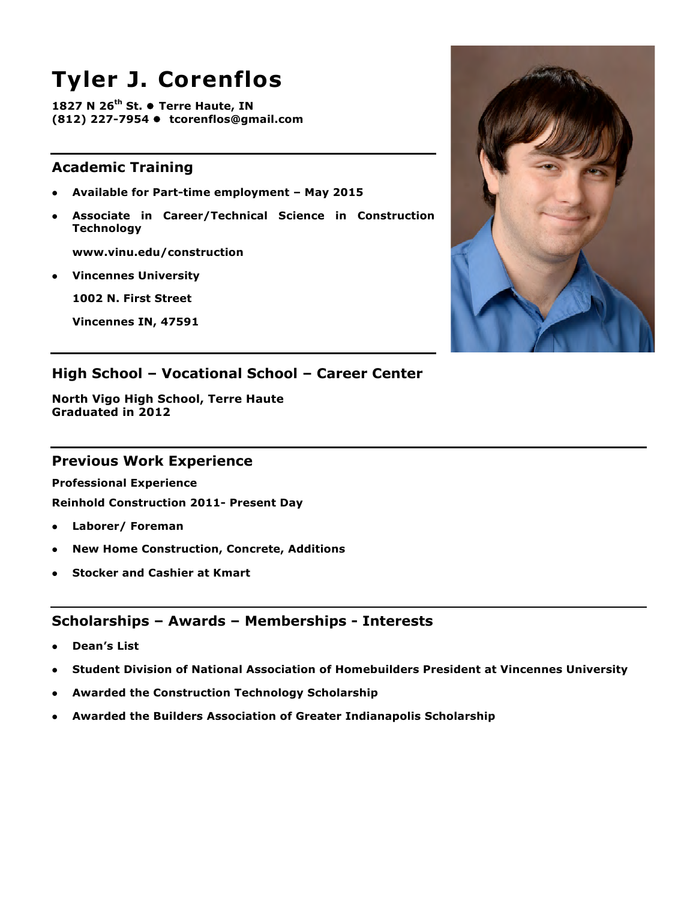# **Tyler J. Corenflos**

**1827 N 26<sup>th</sup> St. • Terre Haute, IN (812) 227-7954 ● tcorenflos@gmail.com** 

## **Academic Training**

- l **Available for Part-time employment – May 2015**
- l **Associate in Career/Technical Science in Construction Technology**

**www.vinu.edu/construction**

**Vincennes University** 

**1002 N. First Street**

**Vincennes IN, 47591**



## **High School – Vocational School – Career Center**

**North Vigo High School, Terre Haute Graduated in 2012** 

#### **Previous Work Experience**

**Professional Experience**

**Reinhold Construction 2011- Present Day**

- **•** Laborer/ Foreman
- **New Home Construction, Concrete, Additions**
- **Stocker and Cashier at Kmart**

- l **Dean's List**
- l **Student Division of National Association of Homebuilders President at Vincennes University**
- **Awarded the Construction Technology Scholarship**
- l **Awarded the Builders Association of Greater Indianapolis Scholarship**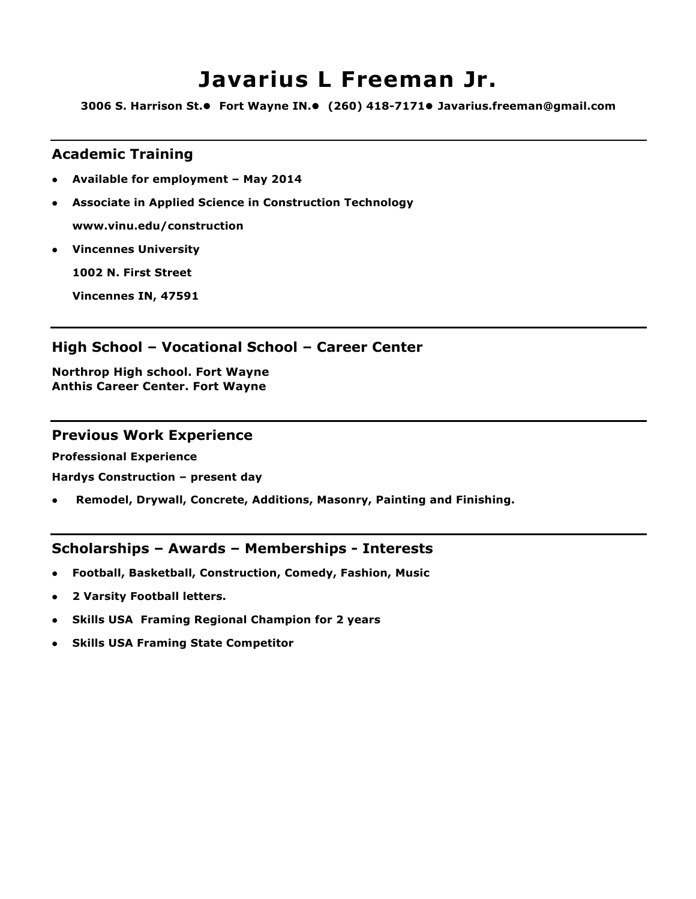## **Javarius L Freeman Jr.**

**3006 S. Harrison St.**l **Fort Wayne IN.**l **(260) 418-7171**l **Javarius.freeman@gmail.com**

#### **Academic Training**

- l **Available for employment – May 2014**
- **4** Associate in Applied Science in Construction Technology **www.vinu.edu/construction**
- **Vincennes University**

**1002 N. First Street**

**Vincennes IN, 47591**

#### **High School – Vocational School – Career Center**

**Northrop High school. Fort Wayne Anthis Career Center. Fort Wayne**

#### **Previous Work Experience**

**Professional Experience**

**Hardys Construction – present day**

l **Remodel, Drywall, Concrete, Additions, Masonry, Painting and Finishing.**

- l **Football, Basketball, Construction, Comedy, Fashion, Music**
- l **2 Varsity Football letters.**
- **Skills USA Framing Regional Champion for 2 years**
- l **Skills USA Framing State Competitor**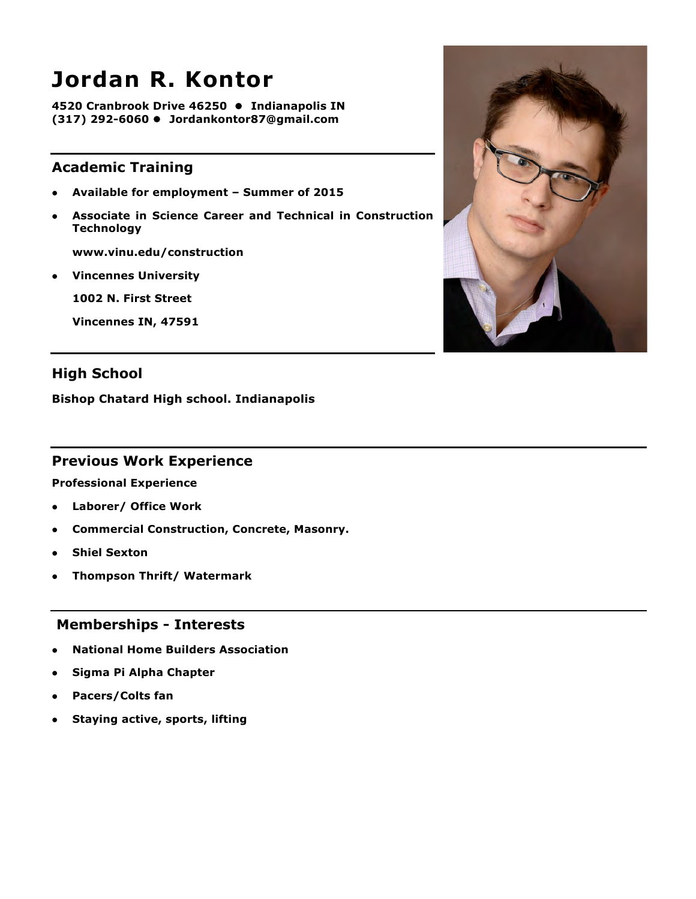## **Jordan R. Kontor**

**4520 Cranbrook Drive 46250 ● Indianapolis IN (317) 292-6060** l **Jordankontor87@gmail.com**

## **Academic Training**

- l **Available for employment – Summer of 2015**
- l **Associate in Science Career and Technical in Construction Technology**

**www.vinu.edu/construction**

**•** Vincennes University

**1002 N. First Street**

**Vincennes IN, 47591**



**Bishop Chatard High school. Indianapolis**

#### **Previous Work Experience**

**Professional Experience**

- l **Laborer/ Office Work**
- l **Commercial Construction, Concrete, Masonry.**
- **Shiel Sexton**
- l **Thompson Thrift/ Watermark**

#### **Memberships - Interests**

- l **National Home Builders Association**
- **Sigma Pi Alpha Chapter**
- l **Pacers/Colts fan**
- **•** Staying active, sports, lifting

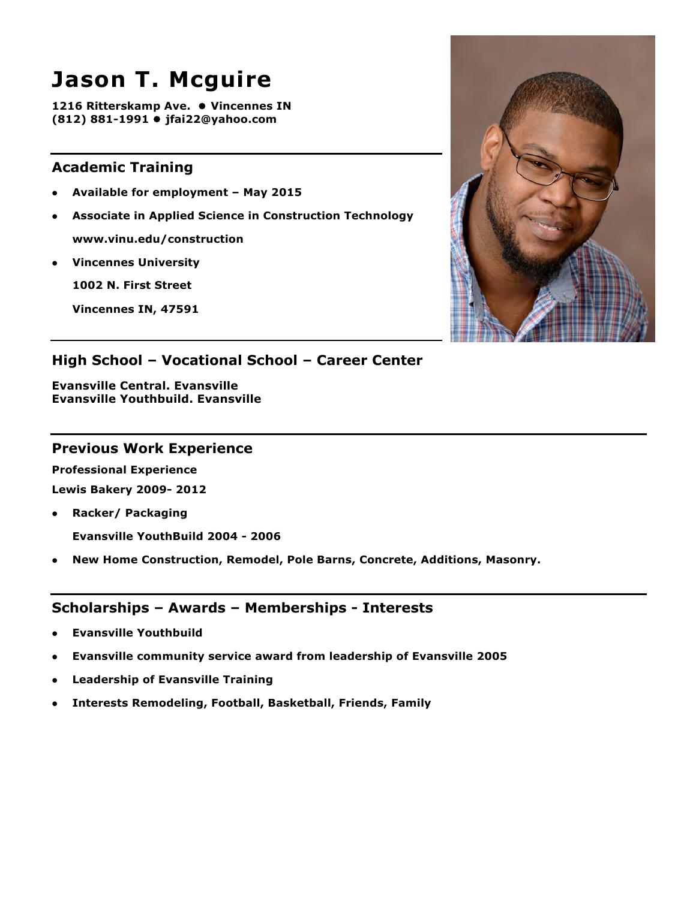## **Jason T. Mcguire**

**1216 Ritterskamp Ave. ● Vincennes IN (812) 881-1991** ● jfai22@yahoo.com

## **Academic Training**

- l **Available for employment – May 2015**
- l **Associate in Applied Science in Construction Technology www.vinu.edu/construction**
- **Vincennes University**

**1002 N. First Street**

**Vincennes IN, 47591**



## **High School – Vocational School – Career Center**

**Evansville Central. Evansville Evansville Youthbuild. Evansville**

#### **Previous Work Experience**

**Professional Experience Lewis Bakery 2009- 2012**

- **•** Racker/ Packaging **Evansville YouthBuild 2004 - 2006**
- **New Home Construction, Remodel, Pole Barns, Concrete, Additions, Masonry.**

- l **Evansville Youthbuild**
- l **Evansville community service award from leadership of Evansville 2005**
- l **Leadership of Evansville Training**
- **•** Interests Remodeling, Football, Basketball, Friends, Family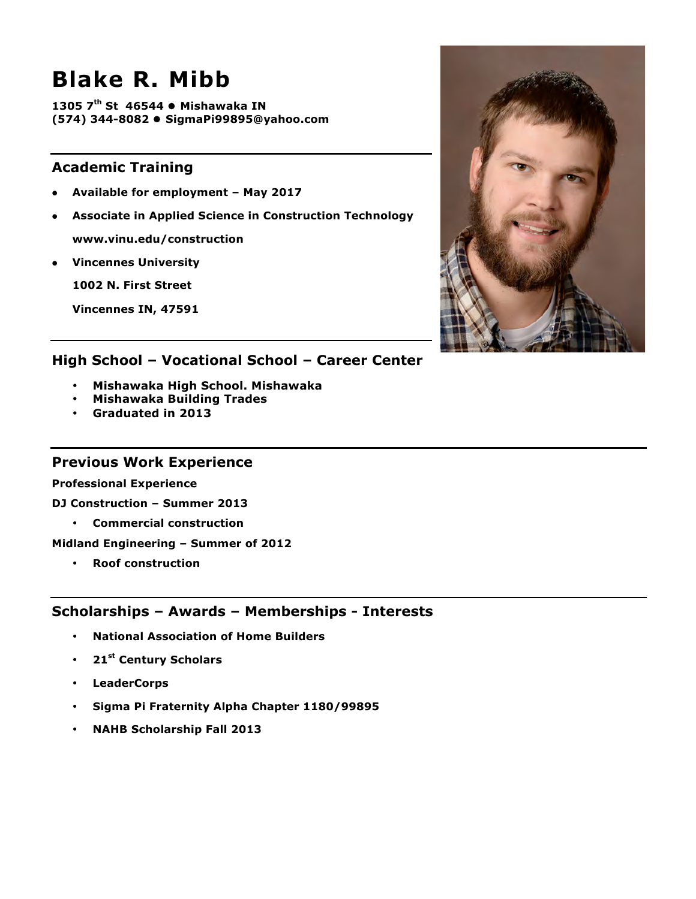## **Blake R. Mibb**

**1305 7<sup>th</sup> St 46544 • Mishawaka IN (574) 344-8082** l **SigmaPi99895@yahoo.com**

## **Academic Training**

- l **Available for employment – May 2017**
- **Associate in Applied Science in Construction Technology**

**www.vinu.edu/construction**

**•** Vincennes University

**1002 N. First Street**

**Vincennes IN, 47591**



## **High School – Vocational School – Career Center**

- **Mishawaka High School. Mishawaka**
- **Mishawaka Building Trades**
- **Graduated in 2013**

#### **Previous Work Experience**

#### **Professional Experience**

**DJ Construction – Summer 2013** 

• **Commercial construction**

**Midland Engineering – Summer of 2012** 

• **Roof construction**

- **National Association of Home Builders**
- **21st Century Scholars**
- **LeaderCorps**
- **Sigma Pi Fraternity Alpha Chapter 1180/99895**
- **NAHB Scholarship Fall 2013**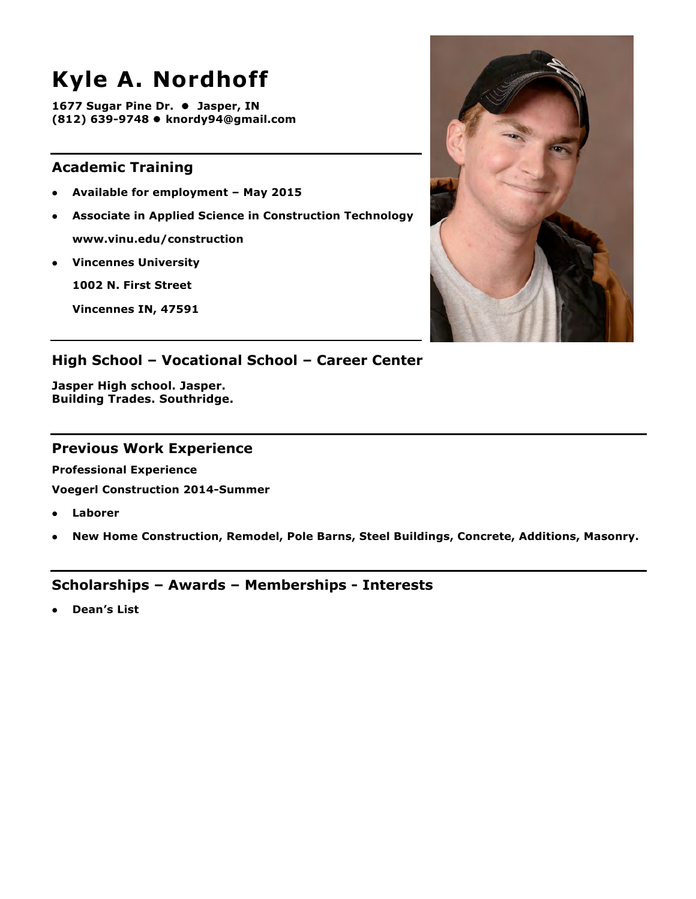# **Kyle A. Nordhoff**

**1677 Sugar Pine Dr. ● Jasper, IN (812) 639-9748 ● knordy94@gmail.com** 

## **Academic Training**

- l **Available for employment – May 2015**
- **Associate in Applied Science in Construction Technology www.vinu.edu/construction**
- **•** Vincennes University

**1002 N. First Street**

**Vincennes IN, 47591**



## **High School – Vocational School – Career Center**

**Jasper High school. Jasper. Building Trades. Southridge.**

#### **Previous Work Experience**

**Professional Experience**

**Voegerl Construction 2014-Summer**

- l **Laborer**
- l **New Home Construction, Remodel, Pole Barns, Steel Buildings, Concrete, Additions, Masonry.**

## **Scholarships – Awards – Memberships - Interests**

l **Dean's List**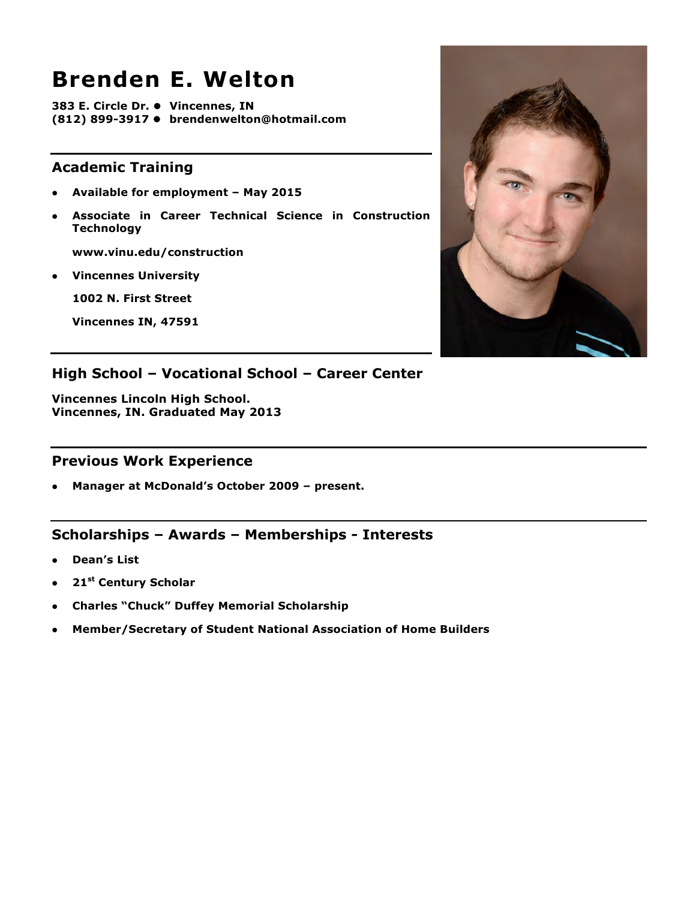## **Brenden E. Welton**

**383 E. Circle Dr. ● Vincennes, IN (812) 899-3917 ● brendenwelton@hotmail.com** 

## **Academic Training**

- l **Available for employment – May 2015**
- l **Associate in Career Technical Science in Construction Technology**

**www.vinu.edu/construction**

l **Vincennes University**

**1002 N. First Street**

**Vincennes IN, 47591**



## **High School – Vocational School – Career Center**

**Vincennes Lincoln High School. Vincennes, IN. Graduated May 2013**

#### **Previous Work Experience**

l **Manager at McDonald's October 2009 – present.**

- l **Dean's List**
- <sup>l</sup> **21st Century Scholar**
- **Charles "Chuck" Duffey Memorial Scholarship**
- l **Member/Secretary of Student National Association of Home Builders**